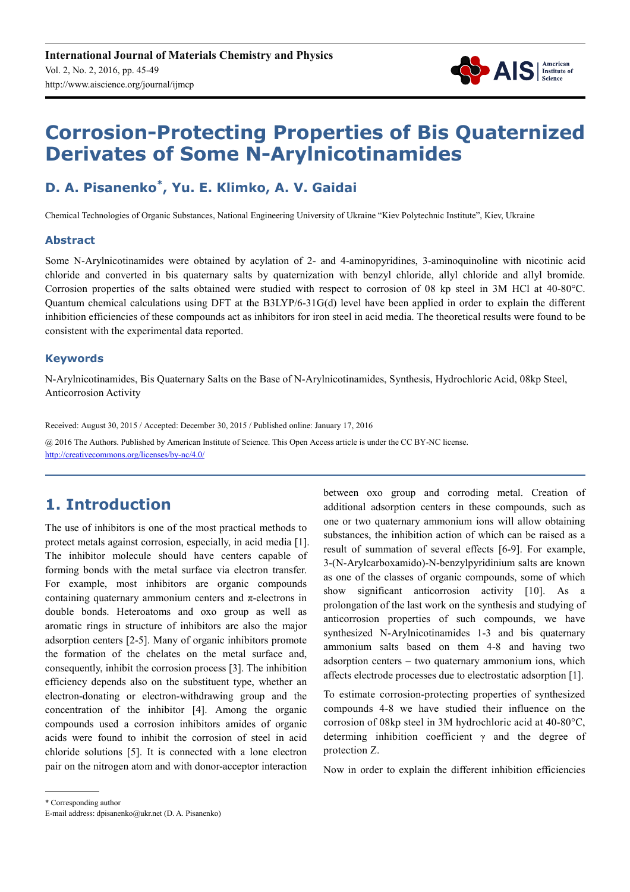

# **Corrosion-Protecting Properties of Bis Quaternized Derivates of Some N-Arylnicotinamides**

# **D. A. Pisanenko\* , Yu. E. Klimko, A. V. Gaidai**

Chemical Technologies of Organic Substances, National Engineering University of Ukraine "Kiev Polytechnic Institute", Kiev, Ukraine

#### **Abstract**

Some N-Arylnicotinamides were obtained by acylation of 2- and 4-aminopyridines, 3-aminoquinoline with nicotinic acid chloride and converted in bis quaternary salts by quaternization with benzyl chloride, allyl chloride and allyl bromide. Corrosion properties of the salts obtained were studied with respect to corrosion of 08 kp steel in 3M HCl at 40-80°C. Quantum chemical calculations using DFT at the B3LYP/6-31G(d) level have been applied in order to explain the different inhibition efficiencies of these compounds act as inhibitors for iron steel in acid media. The theoretical results were found to be consistent with the experimental data reported.

#### **Keywords**

N-Arylnicotinamides, Bis Quaternary Salts on the Base of N-Arylnicotinamides, Synthesis, Hydrochloric Acid, 08kp Steel, Anticorrosion Activity

Received: August 30, 2015 / Accepted: December 30, 2015 / Published online: January 17, 2016 @ 2016 The Authors. Published by American Institute of Science. This Open Access article is under the CC BY-NC license. http://creativecommons.org/licenses/by-nc/4.0/

# **1. Introduction**

The use of inhibitors is one of the most practical methods to protect metals against corrosion, especially, in acid media [1]. The inhibitor molecule should have centers capable of forming bonds with the metal surface via electron transfer. For example, most inhibitors are organic compounds containing quaternary ammonium centers and π-electrons in double bonds. Heteroatoms and oxo group as well as aromatic rings in structure of inhibitors are also the major adsorption centers [2-5]. Many of organic inhibitors promote the formation of the chelates on the metal surface and, consequently, inhibit the corrosion process [3]. The inhibition efficiency depends also on the substituent type, whether an electron-donating or electron-withdrawing group and the concentration of the inhibitor [4]. Among the organic compounds used a corrosion inhibitors amides of organic acids were found to inhibit the corrosion of steel in acid chloride solutions [5]. It is connected with a lone electron pair on the nitrogen atom and with donor-acceptor interaction

between oxo group and corroding metal. Creation of additional adsorption centers in these compounds, such as one or two quaternary ammonium ions will allow obtaining substances, the inhibition action of which can be raised as a result of summation of several effects [6-9]. For example, 3-(N-Arylcarboxamido)-N-benzylpyridinium salts are known as one of the classes of organic compounds, some of which show significant anticorrosion activity [10]. As a prolongation of the last work on the synthesis and studying of anticorrosion properties of such compounds, we have synthesized N-Arylnicotinamides 1-3 and bis quaternary ammonium salts based on them 4-8 and having two adsorption centers – two quaternary ammonium ions, which affects electrode processes due to electrostatic adsorption [1].

To estimate corrosion-protecting properties of synthesized compounds 4-8 we have studied their influence on the corrosion of 08kp steel in 3M hydrochloric acid at 40-80°C, determing inhibition coefficient  $\gamma$  and the degree of protection Z.

Now in order to explain the different inhibition efficiencies

\* Corresponding author

E-mail address: dpisanenko@ukr.net (D. A. Pisanenko)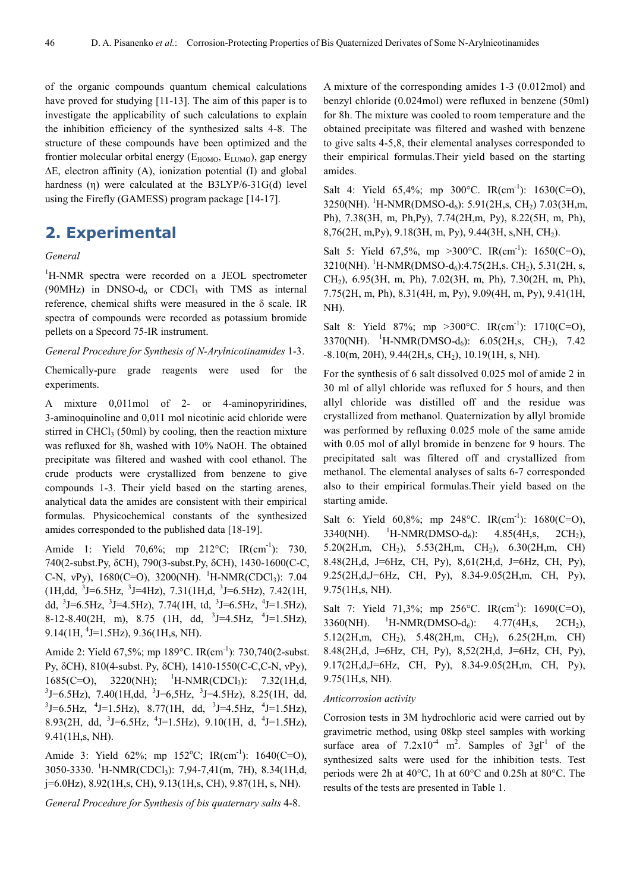of the organic compounds quantum chemical calculations have proved for studying [11-13]. The aim of this paper is to investigate the applicability of such calculations to explain the inhibition efficiency of the synthesized salts 4-8. The structure of these compounds have been optimized and the frontier molecular orbital energy ( $E_{HOMO}$ ,  $E_{LUMO}$ ), gap energy ∆E, electron affinity (A), ionization potential (I) and global hardness (η) were calculated at the B3LYP/6-31G(d) level using the Firefly (GAMESS) program package [14-17].

### **2. Experimental**

#### *General*

<sup>1</sup>H-NMR spectra were recorded on a JEOL spectrometer (90MHz) in DNSO- $d_6$  or CDCl<sub>3</sub> with TMS as internal reference, chemical shifts were measured in the δ scale. IR spectra of compounds were recorded as potassium bromide pellets on a Specord 75-IR instrument.

*General Procedure for Synthesis of N-Arylnicotinamides* 1-3.

Chemically-pure grade reagents were used for the experiments.

A mixture 0,011mol of 2- or 4-aminopyriridines, 3-aminoquinoline and 0,011 mol nicotinic acid chloride were stirred in CHCl $_3$  (50ml) by cooling, then the reaction mixture was refluxed for 8h, washed with 10% NaOH. The obtained precipitate was filtered and washed with cool ethanol. The crude products were crystallized from benzene to give compounds 1-3. Their yield based on the starting arenes, analytical data the amides are consistent with their empirical formulas. Physicochemical constants of the synthesized amides corresponded to the published data [18-19].

Amide 1: Yield 70,6%; mp 212°C; IR(cm<sup>-1</sup>): 730, 740(2-subst.Py, δCH), 790(3-subst.Py, δCH), 1430-1600(C-C, C-N,  $vPy$ ), 1680(C=O), 3200(NH). <sup>1</sup>H-NMR(CDCl<sub>3</sub>): 7.04  $(1H, dd, \frac{3}{J}=6.5Hz, \frac{3}{J}=4Hz)$ ,  $7.31(1H,d, \frac{3}{J}=6.5Hz)$ ,  $7.42(1H,$ dd,  $3J=6.5\text{Hz}$ ,  $3J=4.5\text{Hz}$ ),  $7.74(1H, \text{td}, 3J=6.5\text{Hz}, 4J=1.5\text{Hz})$ , 8-12-8.40(2H, m), 8.75 (1H, dd, <sup>3</sup>J=4.5Hz, <sup>4</sup>J=1.5Hz),  $9.14(1H, 4J=1.5Hz), 9.36(1H,s, NH).$ 

Amide 2: Yield 67,5%; mp 189°C. IR(cm<sup>-1</sup>): 730,740(2-subst. Py, δCH), 810(4-subst. Py, δCH), 1410-1550(C-C,C-N, νPy), 1685(C=O), 3220(NH); <sup>1</sup>H-NMR(CDCl<sub>3</sub>): 7.32(1H,d,  $3$ J=6.5Hz), 7.40(1H,dd,  $3$ J=6,5Hz,  $3$ J=4.5Hz), 8.25(1H, dd,  $3$ J=6.5Hz,  $4$ J=1.5Hz), 8.77(1H, dd,  $3$ J=4.5Hz,  $4$ J=1.5Hz), 8.93(2H, dd, <sup>3</sup>J=6.5Hz, <sup>4</sup>J=1.5Hz), 9.10(1H, d, <sup>4</sup>J=1.5Hz), 9.41(1H,s, NH).

Amide 3: Yield 62%; mp  $152^{\circ}$ C; IR(cm<sup>-1</sup>): 1640(C=O), 3050-3330. <sup>1</sup>H-NMR(CDCl3): 7,94-7,41(m, 7H), 8.34(1H,d, j=6.0Hz), 8.92(1H,s, CH), 9.13(1H,s, CH), 9.87(1H, s, NH).

*General Procedure for Synthesis of bis quaternary salts* 4-8.

A mixture of the corresponding amides 1-3 (0.012mol) and benzyl chloride (0.024mol) were refluxed in benzene (50ml) for 8h. The mixture was cooled to room temperature and the obtained precipitate was filtered and washed with benzene to give salts 4-5,8, their elemental analyses corresponded to their empirical formulas.Their yield based on the starting amides.

Salt 4: Yield  $65,4\%$ ; mp  $300^{\circ}$ C. IR(cm<sup>-1</sup>):  $1630$ (C=O),  $3250(NH)$ . <sup>1</sup>H-NMR(DMSO-d<sub>6</sub>): 5.91(2H,s, CH<sub>2</sub>) 7.03(3H,m, Ph), 7.38(3H, m, Ph,Py), 7.74(2H,m, Py), 8.22(5H, m, Ph), 8,76(2H, m,Py), 9.18(3H, m, Py), 9.44(3H, s,NH, CH2).

Salt 5: Yield 67,5%, mp > 300 °C. IR(cm<sup>-1</sup>): 1650(C=O),  $3210(NH)$ . <sup>1</sup>H-NMR(DMSO-d<sub>6</sub>):4.75(2H,s. CH<sub>2</sub>), 5.31(2H, s, CH2), 6.95(3H, m, Ph), 7.02(3H, m, Ph), 7.30(2H, m, Ph), 7.75(2H, m, Ph), 8.31(4H, m, Py), 9.09(4H, m, Py), 9.41(1H, NH).

Salt 8: Yield 87%; mp > 300 °C.  $IR(cm^{-1})$ : 1710(C=O), 3370(NH). <sup>1</sup>H-NMR(DMSO-d<sub>6</sub>): 6.05(2H,s, CH<sub>2</sub>), 7.42  $-8.10$ (m, 20H), 9.44(2H, s, CH<sub>2</sub>), 10.19(1H, s, NH).

For the synthesis of 6 salt dissolved 0.025 mol of amide 2 in 30 ml of allyl chloride was refluxed for 5 hours, and then allyl chloride was distilled off and the residue was crystallized from methanol. Quaternization by allyl bromide was performed by refluxing 0.025 mole of the same amide with 0.05 mol of allyl bromide in benzene for 9 hours. The precipitated salt was filtered off and crystallized from methanol. The elemental analyses of salts 6-7 corresponded also to their empirical formulas.Their yield based on the starting amide.

Salt 6: Yield  $60,8\%$ ; mp 248°C. IR(cm<sup>-1</sup>): 1680(C=O),  $3340(NH)$ . <sup>1</sup>H-NMR(DMSO-d<sub>6</sub>): 4.85(4H,s, 2CH<sub>2</sub>), 5.20(2H,m, CH2), 5.53(2H,m, CH2), 6.30(2H,m, CH) 8.48(2H,d, J=6Hz, CH, Py), 8,61(2H,d, J=6Hz, CH, Py), 9.25(2H,d,J=6Hz, CH, Py), 8.34-9.05(2H,m, CH, Py), 9.75(1H,s, NH).

Salt 7: Yield 71,3%; mp 256 °C. IR(cm<sup>-1</sup>): 1690(C=O),  $3360(NH)$ . <sup>1</sup>H-NMR(DMSO-d<sub>6</sub>): 4.77(4H,s, 2CH<sub>2</sub>), 5.12(2H,m, CH2), 5.48(2H,m, CH2), 6.25(2H,m, CH) 8.48(2H,d, J=6Hz, CH, Py), 8,52(2H,d, J=6Hz, CH, Py), 9.17(2H,d,J=6Hz, CH, Py), 8.34-9.05(2H,m, CH, Py), 9.75(1H,s, NH).

#### *Anticorrosion activity*

Corrosion tests in 3M hydrochloric acid were carried out by gravimetric method, using 08kp steel samples with working surface area of  $7.2 \times 10^{-4}$  m<sup>2</sup>. Samples of  $3gl^{-1}$  of the synthesized salts were used for the inhibition tests. Test periods were 2h at 40°C, 1h at 60°C and 0.25h at 80°C. The results of the tests are presented in Table 1.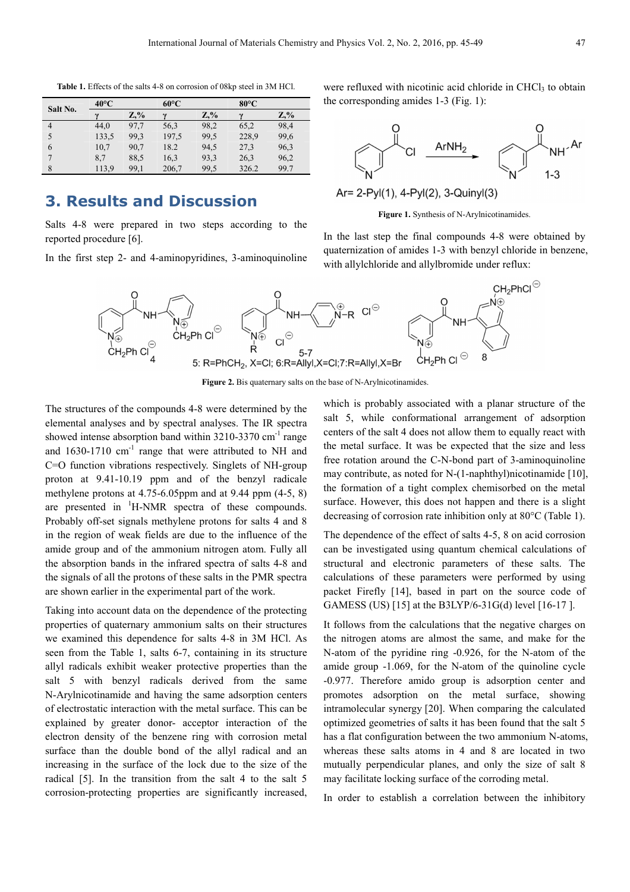**Table 1.** Effects of the salts 4-8 on corrosion of 08kp steel in 3M HCl.

| Salt No. | $40^{\circ}$ C |         | $60^{\circ}$ C |         | $80^{\circ}$ C |        |
|----------|----------------|---------|----------------|---------|----------------|--------|
|          | $\mathbf{v}$   | $Z, \%$ | $\sim$         | $Z, \%$ | $\sim$         | $Z,\%$ |
| 4        | 44.0           | 97,7    | 56,3           | 98,2    | 65,2           | 98,4   |
|          | 133.5          | 99.3    | 197.5          | 99.5    | 228,9          | 99,6   |
| 6        | 10,7           | 90,7    | 18.2           | 94,5    | 27,3           | 96,3   |
|          | 8.7            | 88.5    | 16.3           | 93.3    | 26,3           | 96,2   |
| 8        | 113.9          | 99,1    | 206,7          | 99.5    | 326.2          | 99.7   |

## **3. Results and Discussion**

Salts 4-8 were prepared in two steps according to the reported procedure [6].

In the first step 2- and 4-aminopyridines, 3-aminoquinoline

were refluxed with nicotinic acid chloride in CHCl<sub>3</sub> to obtain the corresponding amides 1-3 (Fig. 1):



Ar= 2-Pyl(1), 4-Pyl(2), 3-Quinyl(3)

**Figure 1.** Synthesis of N-Arylnicotinamides.

In the last step the final compounds 4-8 were obtained by quaternization of amides 1-3 with benzyl chloride in benzene, with allylchloride and allylbromide under reflux:



Figure 2. Bis quaternary salts on the base of N-Arylnicotinamides.

The structures of the compounds 4-8 were determined by the elemental analyses and by spectral analyses. The IR spectra showed intense absorption band within  $3210-3370$  cm<sup>-1</sup> range and  $1630-1710$  cm<sup>-1</sup> range that were attributed to NH and C=O function vibrations respectively. Singlets of NH-group proton at 9.41-10.19 ppm and of the benzyl radicale methylene protons at 4.75-6.05ppm and at 9.44 ppm (4-5, 8) are presented in  $\mathrm{H}\text{-}\mathrm{N}\mathrm{M}\mathrm{R}$  spectra of these compounds. Probably off-set signals methylene protons for salts 4 and 8 in the region of weak fields are due to the influence of the amide group and of the ammonium nitrogen atom. Fully all the absorption bands in the infrared spectra of salts 4-8 and the signals of all the protons of these salts in the PMR spectra are shown earlier in the experimental part of the work.

Taking into account data on the dependence of the protecting properties of quaternary ammonium salts on their structures we examined this dependence for salts 4-8 in 3M HCl. As seen from the Table 1, salts 6-7, containing in its structure allyl radicals exhibit weaker protective properties than the salt 5 with benzyl radicals derived from the same N-Arylnicotinamide and having the same adsorption centers of electrostatic interaction with the metal surface. This can be explained by greater donor- acceptor interaction of the electron density of the benzene ring with corrosion metal surface than the double bond of the allyl radical and an increasing in the surface of the lock due to the size of the radical [5]. In the transition from the salt 4 to the salt 5 corrosion-protecting properties are significantly increased,

which is probably associated with a planar structure of the salt 5, while conformational arrangement of adsorption centers of the salt 4 does not allow them to equally react with the metal surface. It was be expected that the size and less free rotation around the C-N-bond part of 3-aminoquinoline may contribute, as noted for N-(1-naphthyl)nicotinamide [10], the formation of a tight complex chemisorbed on the metal surface. However, this does not happen and there is a slight decreasing of corrosion rate inhibition only at 80°C (Table 1).

The dependence of the effect of salts 4-5, 8 on acid corrosion can be investigated using quantum chemical calculations of structural and electronic parameters of these salts. The calculations of these parameters were performed by using packet Firefly [14], based in part on the source code of GAMESS (US) [15] at the B3LYP/6-31G(d) level [16-17 ].

It follows from the calculations that the negative charges on the nitrogen atoms are almost the same, and make for the N-atom of the pyridine ring -0.926, for the N-atom of the amide group -1.069, for the N-atom of the quinoline cycle -0.977. Therefore amido group is adsorption center and promotes adsorption on the metal surface, showing intramolecular synergy [20]. When comparing the calculated optimized geometries of salts it has been found that the salt 5 has a flat configuration between the two ammonium N-atoms, whereas these salts atoms in 4 and 8 are located in two mutually perpendicular planes, and only the size of salt 8 may facilitate locking surface of the corroding metal.

In order to establish a correlation between the inhibitory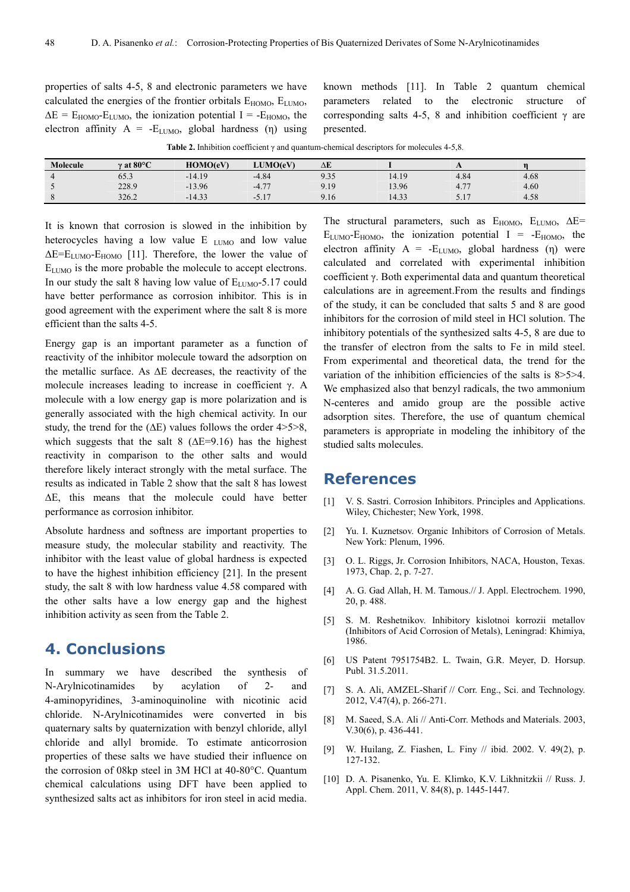properties of salts 4-5, 8 and electronic parameters we have calculated the energies of the frontier orbitals  $E_{HOMO}$ ,  $E_{LUMO}$ ,  $\Delta E = E_{HOMO} - E_{LUMO}$ , the ionization potential I = - $E_{HOMO}$ , the electron affinity  $A = -E_{LUMO}$ , global hardness (η) using known methods [11]. In Table 2 quantum chemical parameters related to the electronic structure of corresponding salts 4-5, 8 and inhibition coefficient  $\gamma$  are presented.

**Table 2.** Inhibition coefficient γ and quantum-chemical descriptors for molecules 4-5,8.

| Molecule | $\gamma$ at 80 $\rm ^{\circ}C$ | HOMO(eV) | LUMO(eV)                           | ΔE                                 |       | $\overline{1}$           |            |
|----------|--------------------------------|----------|------------------------------------|------------------------------------|-------|--------------------------|------------|
|          | $\sim$ $\sim$<br>0 <i>0.0</i>  | $-14.19$ | $-4.84$                            | 0.25<br>כנ.י                       | 14.19 | 4.84                     | 4.68       |
|          | 228.9                          | $-13.96$ | 177<br>$-4$<br>┱. ៸                | 1 <sub>Q</sub><br>$\overline{111}$ | 13.96 | $-7-$<br>4<br><b>T.I</b> | 4.60       |
|          | 326.2                          | $-14.33$ | $\rightarrow$<br>- 7<br>$\cup$ . 1 | 9.16                               | 14.33 | .<br>$\cup$ . 1          | 50<br>4.38 |

It is known that corrosion is slowed in the inhibition by heterocycles having a low value E <sub>LUMO</sub> and low value  $\Delta E=E_{LUMO}-E_{HOMO}$  [11]. Therefore, the lower the value of ELUMO is the more probable the molecule to accept electrons. In our study the salt 8 having low value of  $E_{LUMO}$ -5.17 could have better performance as corrosion inhibitor. This is in good agreement with the experiment where the salt 8 is more efficient than the salts 4-5.

Energy gap is an important parameter as a function of reactivity of the inhibitor molecule toward the adsorption on the metallic surface. As ∆E decreases, the reactivity of the molecule increases leading to increase in coefficient γ. A molecule with a low energy gap is more polarization and is generally associated with the high chemical activity. In our study, the trend for the ( $\Delta E$ ) values follows the order 4>5>8, which suggests that the salt 8 ( $\Delta E=9.16$ ) has the highest reactivity in comparison to the other salts and would therefore likely interact strongly with the metal surface. The results as indicated in Table 2 show that the salt 8 has lowest ∆E, this means that the molecule could have better performance as corrosion inhibitor.

Absolute hardness and softness are important properties to measure study, the molecular stability and reactivity. The inhibitor with the least value of global hardness is expected to have the highest inhibition efficiency [21]. In the present study, the salt 8 with low hardness value 4.58 compared with the other salts have a low energy gap and the highest inhibition activity as seen from the Table 2.

# **4. Conclusions**

In summary we have described the synthesis of N-Arylnicotinamides by acylation of 2- and 4-aminopyridines, 3-aminoquinoline with nicotinic acid chloride. N-Arylnicotinamides were converted in bis quaternary salts by quaternization with benzyl chloride, allyl chloride and allyl bromide. To estimate anticorrosion properties of these salts we have studied their influence on the corrosion of 08kp steel in 3M HCl at 40-80°C. Quantum chemical calculations using DFT have been applied to synthesized salts act as inhibitors for iron steel in acid media.

The structural parameters, such as  $E_{HOMO}$ ,  $E_{LUMO}$ ,  $\Delta E=$  $E_{LUMO}$ - $E_{HOMO}$ , the ionization potential I =  $-E_{HOMO}$ , the electron affinity  $A = -E_{LUMO}$ , global hardness (η) were calculated and correlated with experimental inhibition coefficient γ. Both experimental data and quantum theoretical calculations are in agreement.From the results and findings of the study, it can be concluded that salts 5 and 8 are good inhibitors for the corrosion of mild steel in HCl solution. The inhibitory potentials of the synthesized salts 4-5, 8 are due to the transfer of electron from the salts to Fe in mild steel. From experimental and theoretical data, the trend for the variation of the inhibition efficiencies of the salts is 8>5>4. We emphasized also that benzyl radicals, the two ammonium N-centeres and amido group are the possible active adsorption sites. Therefore, the use of quantum chemical parameters is appropriate in modeling the inhibitory of the studied salts molecules.

### **References**

- [1] V. S. Sastri. Corrosion Inhibitors. Principles and Applications. Wiley, Chichester; New York, 1998.
- [2] Yu. I. Kuznetsov. Organic Inhibitors of Corrosion of Metals. New York: Plenum, 1996.
- [3] O. L. Riggs, Jr. Corrosion Inhibitors, NACA, Houston, Texas. 1973, Chap. 2, p. 7-27.
- [4] A. G. Gad Allah, H. M. Tamous.// J. Appl. Electrochem. 1990, 20, p. 488.
- [5] S. M. Reshetnikov. Inhibitory kislotnoi korrozii metallov (Inhibitors of Acid Corrosion of Metals), Leningrad: Khimiya, 1986.
- [6] US Patent 7951754B2. L. Twain, G.R. Meyer, D. Horsup. Publ. 31.5.2011.
- [7] S. A. Ali, AMZEL-Sharif // Corr. Eng., Sci. and Technology. 2012, V.47(4), p. 266-271.
- [8] M. Saeed, S.A. Ali // Anti-Corr. Methods and Materials. 2003, V.30(6), p. 436-441.
- [9] W. Huilang, Z. Fiashen, L. Finy // ibid. 2002. V. 49(2), p. 127-132.
- [10] D. A. Pisanenko, Yu. E. Klimko, K.V. Likhnitzkii // Russ. J. Appl. Chem. 2011, V. 84(8), p. 1445-1447.